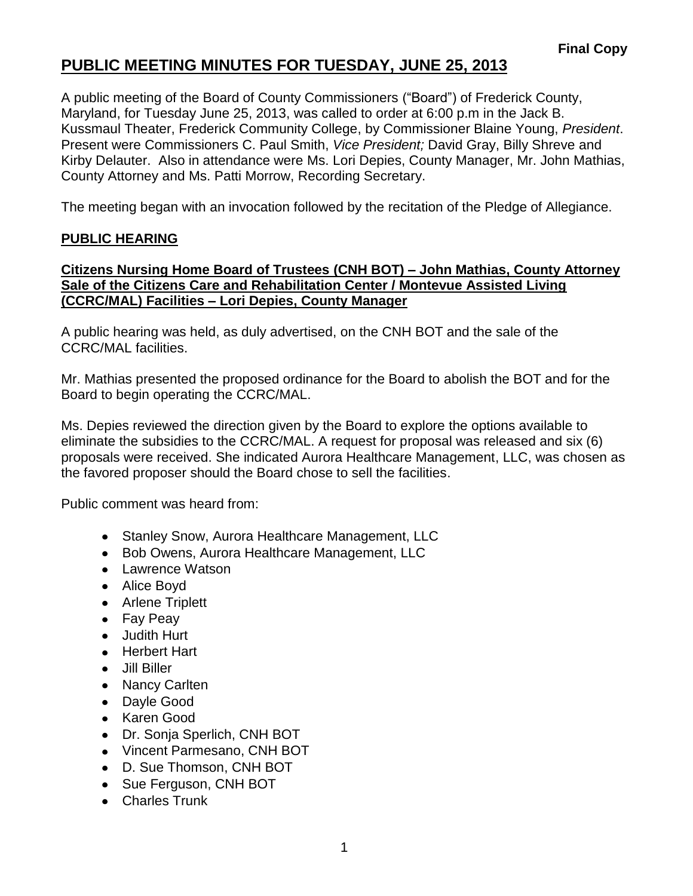A public meeting of the Board of County Commissioners ("Board") of Frederick County, Maryland, for Tuesday June 25, 2013, was called to order at 6:00 p.m in the Jack B. Kussmaul Theater, Frederick Community College, by Commissioner Blaine Young, *President*. Present were Commissioners C. Paul Smith, *Vice President;* David Gray, Billy Shreve and Kirby Delauter. Also in attendance were Ms. Lori Depies, County Manager, Mr. John Mathias, County Attorney and Ms. Patti Morrow, Recording Secretary.

The meeting began with an invocation followed by the recitation of the Pledge of Allegiance.

### **PUBLIC HEARING**

#### **Citizens Nursing Home Board of Trustees (CNH BOT) – John Mathias, County Attorney Sale of the Citizens Care and Rehabilitation Center / Montevue Assisted Living (CCRC/MAL) Facilities – Lori Depies, County Manager**

A public hearing was held, as duly advertised, on the CNH BOT and the sale of the CCRC/MAL facilities.

Mr. Mathias presented the proposed ordinance for the Board to abolish the BOT and for the Board to begin operating the CCRC/MAL.

Ms. Depies reviewed the direction given by the Board to explore the options available to eliminate the subsidies to the CCRC/MAL. A request for proposal was released and six (6) proposals were received. She indicated Aurora Healthcare Management, LLC, was chosen as the favored proposer should the Board chose to sell the facilities.

Public comment was heard from:

- Stanley Snow, Aurora Healthcare Management, LLC
- Bob Owens, Aurora Healthcare Management, LLC
- Lawrence Watson
- Alice Bovd
- Arlene Triplett
- Fay Peay
- Judith Hurt
- Herbert Hart
- Jill Biller
- Nancy Carlten
- Dayle Good
- Karen Good
- Dr. Sonja Sperlich, CNH BOT
- Vincent Parmesano, CNH BOT
- D. Sue Thomson, CNH BOT
- Sue Ferguson, CNH BOT
- Charles Trunk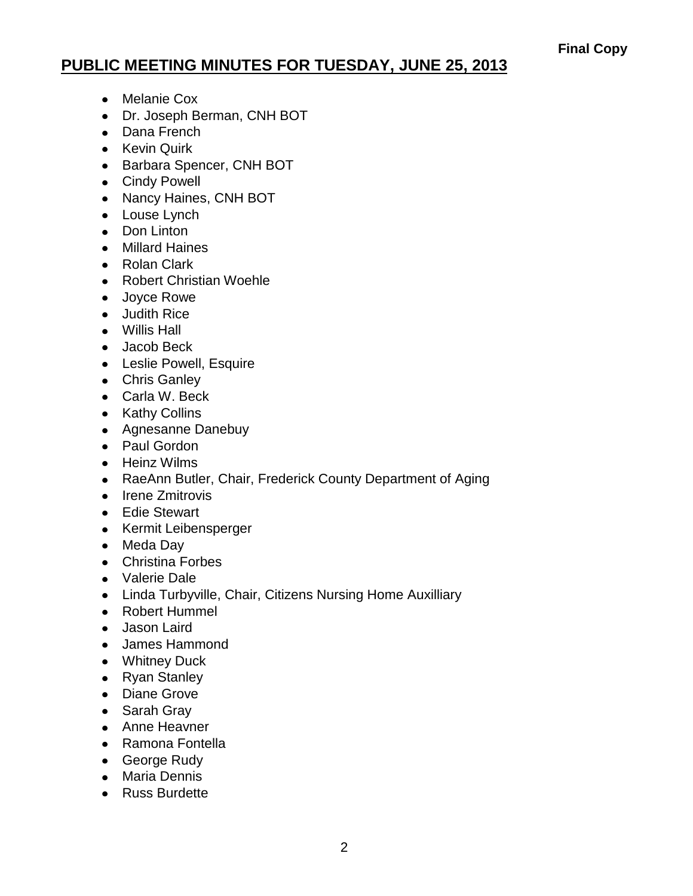- Melanie Cox
- Dr. Joseph Berman, CNH BOT
- Dana French
- Kevin Quirk
- Barbara Spencer, CNH BOT
- Cindy Powell
- Nancy Haines, CNH BOT
- Louse Lynch
- Don Linton
- Millard Haines
- Rolan Clark
- Robert Christian Woehle
- Joyce Rowe
- Judith Rice
- Willis Hall
- Jacob Beck
- Leslie Powell, Esquire
- Chris Ganley
- Carla W. Beck
- Kathy Collins
- Agnesanne Danebuy
- Paul Gordon
- Heinz Wilms
- RaeAnn Butler, Chair, Frederick County Department of Aging
- Irene Zmitrovis
- Edie Stewart
- Kermit Leibensperger
- Meda Day
- Christina Forbes
- Valerie Dale
- Linda Turbyville, Chair, Citizens Nursing Home Auxilliary
- Robert Hummel
- Jason Laird
- James Hammond
- Whitney Duck
- Ryan Stanley
- Diane Grove
- Sarah Gray
- Anne Heavner
- Ramona Fontella
- George Rudy
- Maria Dennis
- Russ Burdette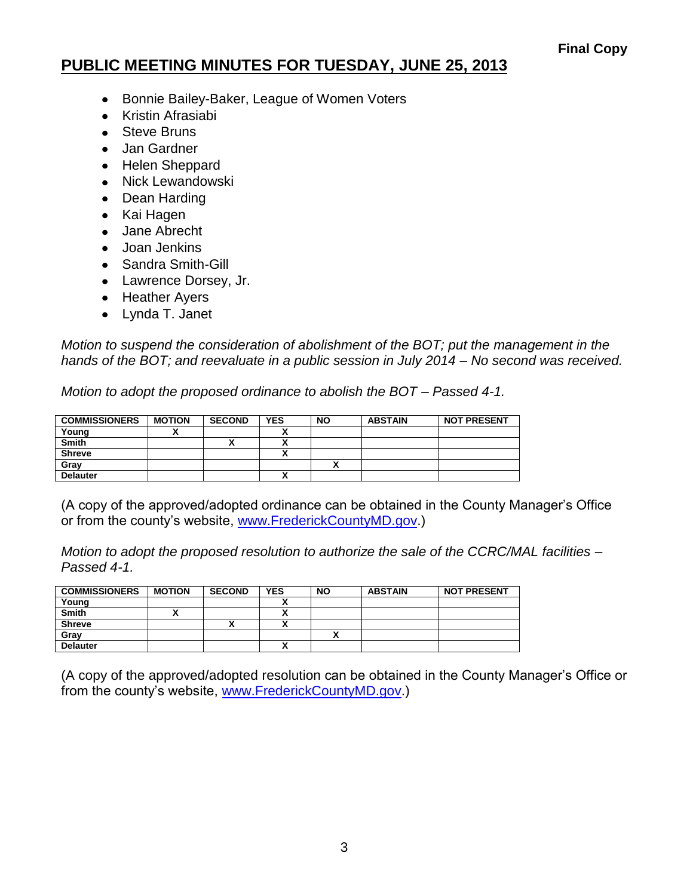- Bonnie Bailey-Baker, League of Women Voters
- Kristin Afrasiabi
- Steve Bruns
- Jan Gardner
- Helen Sheppard
- Nick Lewandowski
- Dean Harding
- Kai Hagen
- Jane Abrecht
- Joan Jenkins
- Sandra Smith-Gill
- Lawrence Dorsey, Jr.
- Heather Ayers
- Lynda T. Janet

*Motion to suspend the consideration of abolishment of the BOT; put the management in the hands of the BOT; and reevaluate in a public session in July 2014 – No second was received.*

*Motion to adopt the proposed ordinance to abolish the BOT – Passed 4-1.*

| <b>COMMISSIONERS</b> | <b>MOTION</b> | <b>SECOND</b> | <b>YES</b>               | <b>NO</b> | <b>ABSTAIN</b> | <b>NOT PRESENT</b> |
|----------------------|---------------|---------------|--------------------------|-----------|----------------|--------------------|
| Young                |               |               |                          |           |                |                    |
| Smith                |               |               | v                        |           |                |                    |
| <b>Shreve</b>        |               |               | $\overline{\phantom{a}}$ |           |                |                    |
| Gray                 |               |               |                          |           |                |                    |
| <b>Delauter</b>      |               |               | ^                        |           |                |                    |

(A copy of the approved/adopted ordinance can be obtained in the County Manager's Office or from the county's website, [www.FrederickCountyMD.gov.](http://www.frederickcountymd.gov/))

*Motion to adopt the proposed resolution to authorize the sale of the CCRC/MAL facilities – Passed 4-1.*

| <b>COMMISSIONERS</b> | <b>MOTION</b> | <b>SECOND</b> | <b>YES</b> | <b>NO</b> | <b>ABSTAIN</b> | <b>NOT PRESENT</b> |
|----------------------|---------------|---------------|------------|-----------|----------------|--------------------|
| Young                |               |               |            |           |                |                    |
| <b>Smith</b>         |               |               |            |           |                |                    |
| <b>Shreve</b>        |               | ^             |            |           |                |                    |
| Gray                 |               |               |            |           |                |                    |
| <b>Delauter</b>      |               |               | ^          |           |                |                    |

(A copy of the approved/adopted resolution can be obtained in the County Manager's Office or from the county's website, [www.FrederickCountyMD.gov.](http://www.frederickcountymd.gov/))